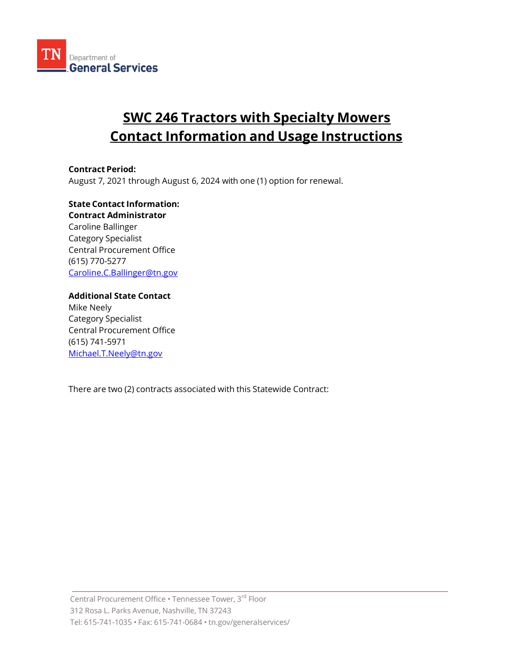

## SWC 246 Tractors with Specialty Mowers Contact Information and Usage Instructions

Contract Period: August 7, 2021 through August 6, 2024 with one (1) option for renewal.

State Contact Information: Contract Administrator Caroline Ballinger Category Specialist Central Procurement Office (615) 770-5277 Caroline.C.Ballinger@tn.gov

Additional State Contact Mike Neely Category Specialist Central Procurement Office (615) 741-5971 Michael.T.Neely@tn.gov

There are two (2) contracts associated with this Statewide Contract: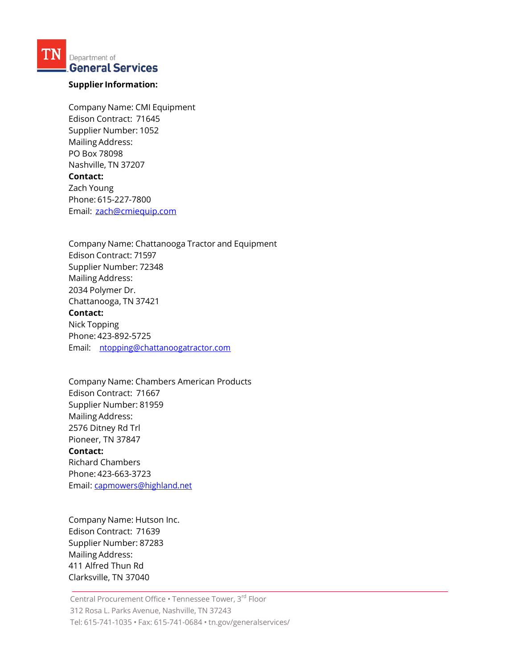Department of **General Services** 

## Supplier Information:

Company Name: CMI Equipment Edison Contract: 71645 Supplier Number: 1052 Mailing Address: PO Box 78098 Nashville, TN 37207 Contact: Zach Young Phone: 615-227-7800 Email: zach@cmiequip.com

Company Name: Chattanooga Tractor and Equipment Edison Contract: 71597 Supplier Number: 72348 Mailing Address: 2034 Polymer Dr. Chattanooga, TN 37421 Contact: Nick Topping Phone: 423-892-5725 Email: ntopping@chattanoogatractor.com

Company Name: Chambers American Products Edison Contract: 71667 Supplier Number: 81959 Mailing Address: 2576 Ditney Rd Trl Pioneer, TN 37847 Contact: Richard Chambers Phone: 423-663-3723 Email: capmowers@highland.net

Company Name: Hutson Inc. Edison Contract: 71639 Supplier Number: 87283 Mailing Address: 411 Alfred Thun Rd Clarksville, TN 37040

Central Procurement Office • Tennessee Tower, 3rd Floor 312 Rosa L. Parks Avenue, Nashville, TN 37243 Tel: 615-741-1035 • Fax: 615-741-0684 • tn.gov/generalservices/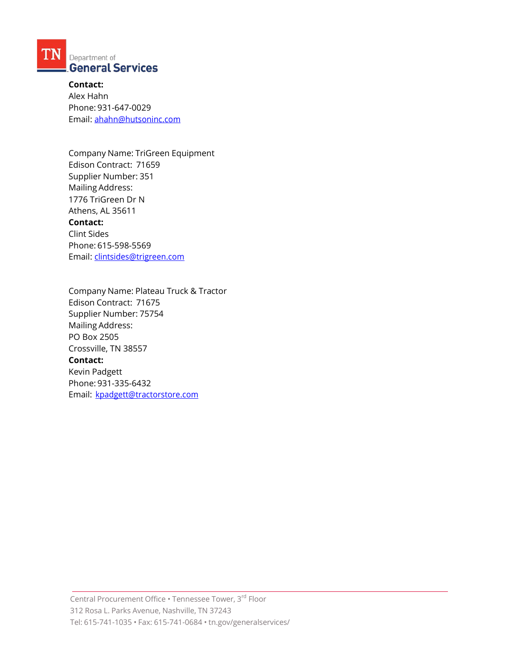

Contact: Alex Hahn Phone: 931-647-0029 Email: ahahn@hutsoninc.com

Company Name: TriGreen Equipment Edison Contract: 71659 Supplier Number: 351 Mailing Address: 1776 TriGreen Dr N Athens, AL 35611 Contact: Clint Sides Phone: 615-598-5569 Email: clintsides@trigreen.com

Company Name: Plateau Truck & Tractor Edison Contract: 71675 Supplier Number: 75754 Mailing Address: PO Box 2505 Crossville, TN 38557 Contact: Kevin Padgett Phone: 931-335-6432 Email: kpadgett@tractorstore.com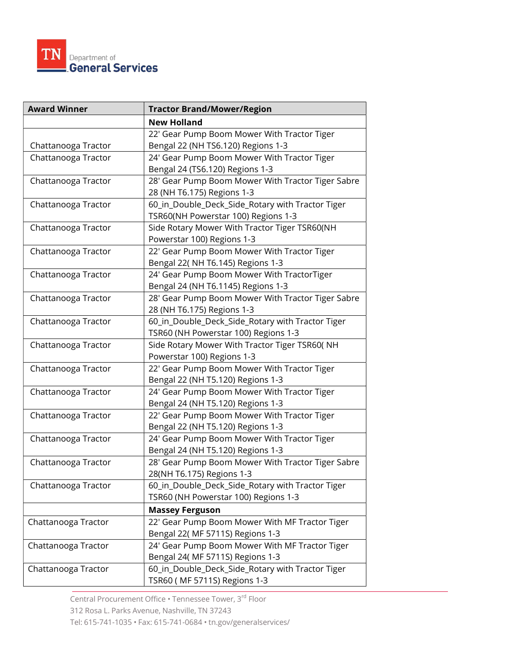

| <b>Award Winner</b> | <b>Tractor Brand/Mower/Region</b>                 |
|---------------------|---------------------------------------------------|
|                     | <b>New Holland</b>                                |
|                     | 22' Gear Pump Boom Mower With Tractor Tiger       |
| Chattanooga Tractor | Bengal 22 (NH TS6.120) Regions 1-3                |
| Chattanooga Tractor | 24' Gear Pump Boom Mower With Tractor Tiger       |
|                     | Bengal 24 (TS6.120) Regions 1-3                   |
| Chattanooga Tractor | 28' Gear Pump Boom Mower With Tractor Tiger Sabre |
|                     | 28 (NH T6.175) Regions 1-3                        |
| Chattanooga Tractor | 60_in_Double_Deck_Side_Rotary with Tractor Tiger  |
|                     | TSR60(NH Powerstar 100) Regions 1-3               |
| Chattanooga Tractor | Side Rotary Mower With Tractor Tiger TSR60(NH     |
|                     | Powerstar 100) Regions 1-3                        |
| Chattanooga Tractor | 22' Gear Pump Boom Mower With Tractor Tiger       |
|                     | Bengal 22( NH T6.145) Regions 1-3                 |
| Chattanooga Tractor | 24' Gear Pump Boom Mower With TractorTiger        |
|                     | Bengal 24 (NH T6.1145) Regions 1-3                |
| Chattanooga Tractor | 28' Gear Pump Boom Mower With Tractor Tiger Sabre |
|                     | 28 (NH T6.175) Regions 1-3                        |
| Chattanooga Tractor | 60_in_Double_Deck_Side_Rotary with Tractor Tiger  |
|                     | TSR60 (NH Powerstar 100) Regions 1-3              |
| Chattanooga Tractor | Side Rotary Mower With Tractor Tiger TSR60( NH    |
|                     | Powerstar 100) Regions 1-3                        |
| Chattanooga Tractor | 22' Gear Pump Boom Mower With Tractor Tiger       |
|                     | Bengal 22 (NH T5.120) Regions 1-3                 |
| Chattanooga Tractor | 24' Gear Pump Boom Mower With Tractor Tiger       |
|                     | Bengal 24 (NH T5.120) Regions 1-3                 |
| Chattanooga Tractor | 22' Gear Pump Boom Mower With Tractor Tiger       |
|                     | Bengal 22 (NH T5.120) Regions 1-3                 |
| Chattanooga Tractor | 24' Gear Pump Boom Mower With Tractor Tiger       |
|                     | Bengal 24 (NH T5.120) Regions 1-3                 |
| Chattanooga Tractor | 28' Gear Pump Boom Mower With Tractor Tiger Sabre |
|                     | 28(NH T6.175) Regions 1-3                         |
| Chattanooga Tractor | 60_in_Double_Deck_Side_Rotary with Tractor Tiger  |
|                     | TSR60 (NH Powerstar 100) Regions 1-3              |
|                     | <b>Massey Ferguson</b>                            |
| Chattanooga Tractor | 22' Gear Pump Boom Mower With MF Tractor Tiger    |
|                     | Bengal 22( MF 5711S) Regions 1-3                  |
| Chattanooga Tractor | 24' Gear Pump Boom Mower With MF Tractor Tiger    |
|                     | Bengal 24( MF 5711S) Regions 1-3                  |
| Chattanooga Tractor | 60_in_Double_Deck_Side_Rotary with Tractor Tiger  |
|                     | TSR60 (MF 5711S) Regions 1-3                      |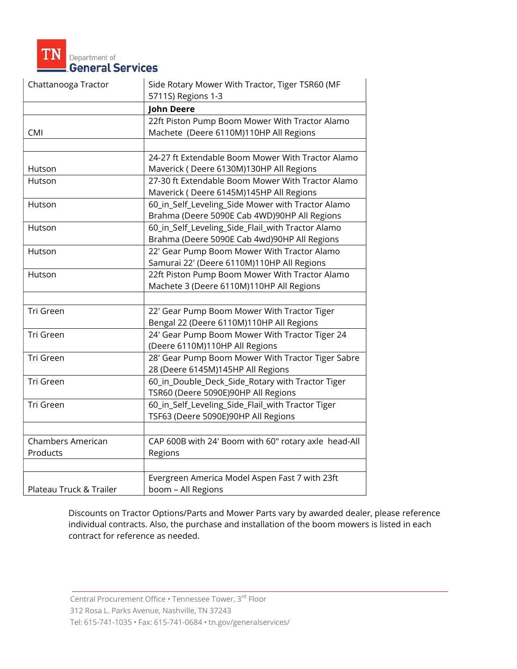

| Chattanooga Tractor     | Side Rotary Mower With Tractor, Tiger TSR60 (MF<br>5711S) Regions 1-3                             |
|-------------------------|---------------------------------------------------------------------------------------------------|
|                         | <b>John Deere</b>                                                                                 |
| <b>CMI</b>              | 22ft Piston Pump Boom Mower With Tractor Alamo<br>Machete (Deere 6110M)110HP All Regions          |
|                         |                                                                                                   |
| Hutson                  | 24-27 ft Extendable Boom Mower With Tractor Alamo<br>Maverick (Deere 6130M)130HP All Regions      |
| Hutson                  | 27-30 ft Extendable Boom Mower With Tractor Alamo<br>Maverick (Deere 6145M)145HP All Regions      |
| Hutson                  | 60_in_Self_Leveling_Side Mower with Tractor Alamo<br>Brahma (Deere 5090E Cab 4WD)90HP All Regions |
| Hutson                  | 60_in_Self_Leveling_Side_Flail_with Tractor Alamo<br>Brahma (Deere 5090E Cab 4wd)90HP All Regions |
| Hutson                  | 22' Gear Pump Boom Mower With Tractor Alamo<br>Samurai 22' (Deere 6110M)110HP All Regions         |
| Hutson                  | 22ft Piston Pump Boom Mower With Tractor Alamo<br>Machete 3 (Deere 6110M)110HP All Regions        |
|                         |                                                                                                   |
| Tri Green               | 22' Gear Pump Boom Mower With Tractor Tiger<br>Bengal 22 (Deere 6110M)110HP All Regions           |
| Tri Green               | 24' Gear Pump Boom Mower With Tractor Tiger 24<br>(Deere 6110M)110HP All Regions                  |
| Tri Green               | 28' Gear Pump Boom Mower With Tractor Tiger Sabre<br>28 (Deere 6145M)145HP All Regions            |
| Tri Green               | 60_in_Double_Deck_Side_Rotary with Tractor Tiger<br>TSR60 (Deere 5090E)90HP All Regions           |
| Tri Green               | 60_in_Self_Leveling_Side_Flail_with Tractor Tiger<br>TSF63 (Deere 5090E)90HP All Regions          |
|                         |                                                                                                   |
| Chambers American       | CAP 600B with 24' Boom with 60" rotary axle head-All                                              |
| Products                | Regions                                                                                           |
|                         |                                                                                                   |
| Plateau Truck & Trailer | Evergreen America Model Aspen Fast 7 with 23ft<br>boom - All Regions                              |

Discounts on Tractor Options/Parts and Mower Parts vary by awarded dealer, please reference individual contracts. Also, the purchase and installation of the boom mowers is listed in each contract for reference as needed.